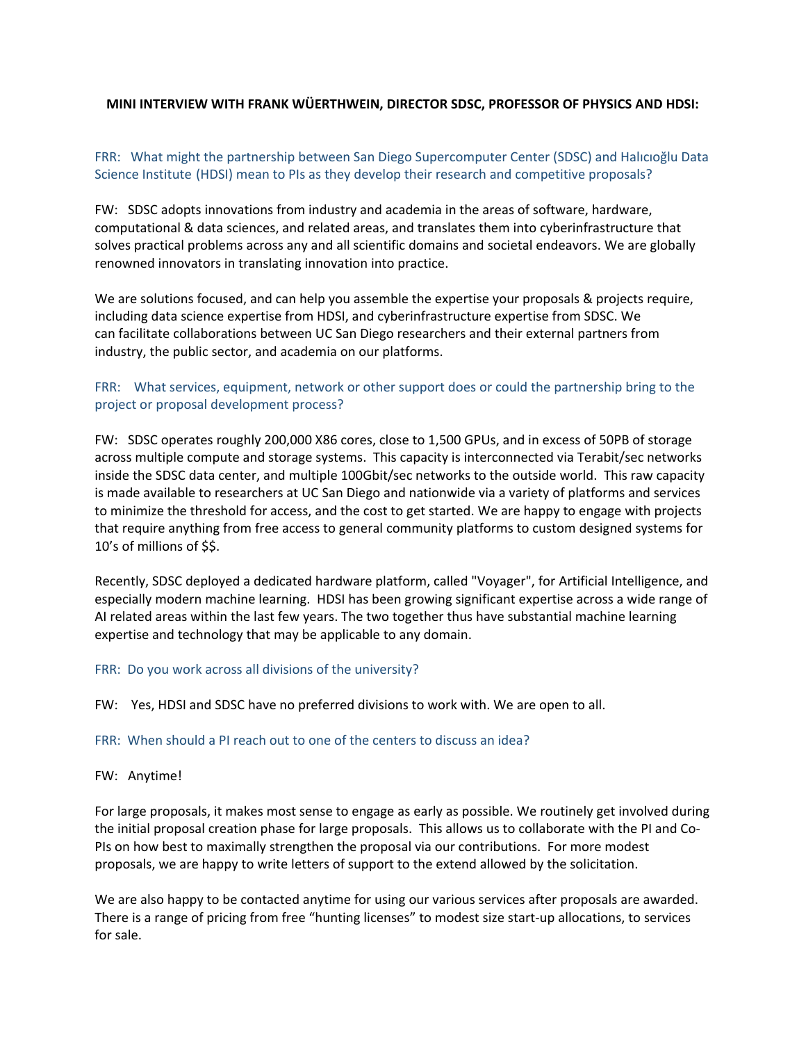### **MINI INTERVIEW WITH FRANK WÜERTHWEIN, DIRECTOR SDSC, PROFESSOR OF PHYSICS AND HDSI:**

# FRR: What might the partnership between San Diego Supercomputer Center (SDSC) and Halıcıoğlu Data Science Institute (HDSI) mean to PIs as they develop their research and competitive proposals?

FW: SDSC adopts innovations from industry and academia in the areas of software, hardware, computational & data sciences, and related areas, and translates them into cyberinfrastructure that solves practical problems across any and all scientific domains and societal endeavors. We are globally renowned innovators in translating innovation into practice.

We are solutions focused, and can help you assemble the expertise your proposals & projects require, including data science expertise from HDSI, and cyberinfrastructure expertise from SDSC. We can facilitate collaborations between UC San Diego researchers and their external partners from industry, the public sector, and academia on our platforms.

## FRR: What services, equipment, network or other support does or could the partnership bring to the project or proposal development process?

FW: SDSC operates roughly 200,000 X86 cores, close to 1,500 GPUs, and in excess of 50PB of storage across multiple compute and storage systems. This capacity is interconnected via Terabit/sec networks inside the SDSC data center, and multiple 100Gbit/sec networks to the outside world. This raw capacity is made available to researchers at UC San Diego and nationwide via a variety of platforms and services to minimize the threshold for access, and the cost to get started. We are happy to engage with projects that require anything from free access to general community platforms to custom designed systems for 10's of millions of \$\$.

Recently, SDSC deployed a dedicated hardware platform, called "Voyager", for Artificial Intelligence, and especially modern machine learning. HDSI has been growing significant expertise across a wide range of AI related areas within the last few years. The two together thus have substantial machine learning expertise and technology that may be applicable to any domain.

### FRR: Do you work across all divisions of the university?

FW: Yes, HDSI and SDSC have no preferred divisions to work with. We are open to all.

#### FRR: When should a PI reach out to one of the centers to discuss an idea?

#### FW: Anytime!

For large proposals, it makes most sense to engage as early as possible. We routinely get involved during the initial proposal creation phase for large proposals. This allows us to collaborate with the PI and Co‐ PIs on how best to maximally strengthen the proposal via our contributions. For more modest proposals, we are happy to write letters of support to the extend allowed by the solicitation.

We are also happy to be contacted anytime for using our various services after proposals are awarded. There is a range of pricing from free "hunting licenses" to modest size start‐up allocations, to services for sale.